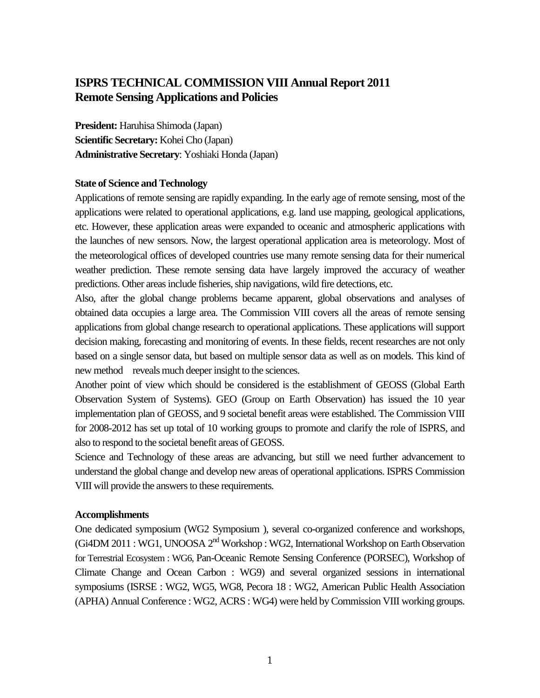# **ISPRS TECHNICAL COMMISSION VIII Annual Report 2011 Remote Sensing Applications and Policies**

**President:** Haruhisa Shimoda (Japan) **Scientific Secretary:** Kohei Cho (Japan) **Administrative Secretary**: Yoshiaki Honda (Japan)

### **State of Science and Technology**

Applications of remote sensing are rapidly expanding. In the early age of remote sensing, most of the applications were related to operational applications, e.g. land use mapping, geological applications, etc. However, these application areas were expanded to oceanic and atmospheric applications with the launches of new sensors. Now, the largest operational application area is meteorology. Most of the meteorological offices of developed countries use many remote sensing data for their numerical weather prediction. These remote sensing data have largely improved the accuracy of weather predictions. Other areas include fisheries, ship navigations, wild fire detections, etc.

Also, after the global change problems became apparent, global observations and analyses of obtained data occupies a large area. The Commission VIII covers all the areas of remote sensing applications from global change research to operational applications. These applications will support decision making, forecasting and monitoring of events. In these fields, recent researches are not only based on a single sensor data, but based on multiple sensor data as well as on models. This kind of new method reveals much deeper insight to the sciences.

Another point of view which should be considered is the establishment of GEOSS (Global Earth Observation System of Systems). GEO (Group on Earth Observation) has issued the 10 year implementation plan of GEOSS, and 9 societal benefit areas were established. The Commission VIII for 2008-2012 has set up total of 10 working groups to promote and clarify the role of ISPRS, and also to respond to the societal benefit areas of GEOSS.

Science and Technology of these areas are advancing, but still we need further advancement to understand the global change and develop new areas of operational applications. ISPRS Commission VIII will provide the answers to these requirements.

### **Accomplishments**

One dedicated symposium (WG2 Symposium ), several co-organized conference and workshops, (Gi4DM 2011 : WG1, UNOOSA 2<sup>nd</sup> Workshop : WG2, International Workshop on Earth Observation for Terrestrial Ecosystem : WG6, Pan-Oceanic Remote Sensing Conference (PORSEC), Workshop of Climate Change and Ocean Carbon : WG9) and several organized sessions in international symposiums (ISRSE : WG2, WG5, WG8, Pecora 18 : WG2, American Public Health Association (APHA) Annual Conference : WG2, ACRS : WG4) were held by Commission VIII working groups.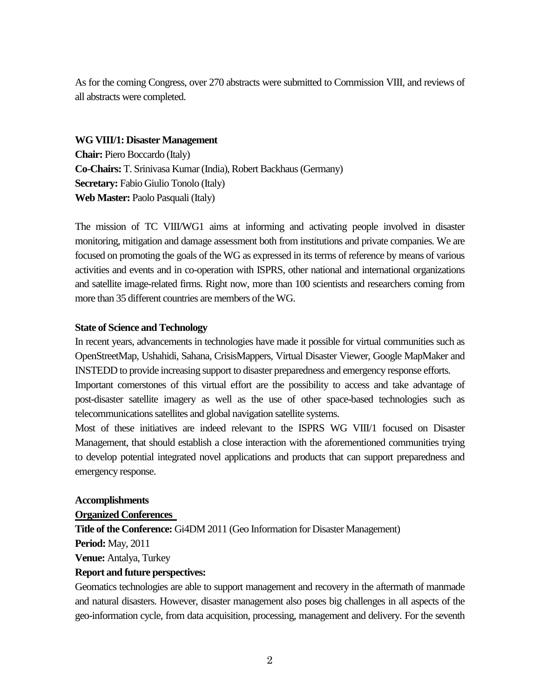As for the coming Congress, over 270 abstracts were submitted to Commission VIII, and reviews of all abstracts were completed.

### **WG VIII/1: Disaster Management**

**Chair:** Piero Boccardo (Italy) **Co-Chairs:** T. Srinivasa Kumar (India), Robert Backhaus (Germany) **Secretary:** Fabio Giulio Tonolo (Italy) **Web Master:** Paolo Pasquali (Italy)

The mission of TC VIII/WG1 aims at informing and activating people involved in disaster monitoring, mitigation and damage assessment both from institutions and private companies. We are focused on promoting the goals of the WG as expressed in its terms of reference by means of various activities and events and in co-operation with ISPRS, other national and international organizations and satellite image-related firms. Right now, more than 100 scientists and researchers coming from more than 35 different countries are members of the WG.

## **State of Science and Technology**

In recent years, advancements in technologies have made it possible for virtual communities such as OpenStreetMap, Ushahidi, Sahana, CrisisMappers, Virtual Disaster Viewer, Google MapMaker and INSTEDD to provide increasing support to disaster preparedness and emergency response efforts.

Important cornerstones of this virtual effort are the possibility to access and take advantage of post-disaster satellite imagery as well as the use of other space-based technologies such as telecommunications satellites and global navigation satellite systems.

Most of these initiatives are indeed relevant to the ISPRS WG VIII/1 focused on Disaster Management, that should establish a close interaction with the aforementioned communities trying to develop potential integrated novel applications and products that can support preparedness and emergency response.

## **Accomplishments**

## **Organized Conferences**

**Title of the Conference:** Gi4DM 2011 (Geo Information for Disaster Management)

**Period:** May, 2011

**Venue:** Antalya, Turkey

## **Report and future perspectives:**

Geomatics technologies are able to support management and recovery in the aftermath of manmade and natural disasters. However, disaster management also poses big challenges in all aspects of the geo-information cycle, from data acquisition, processing, management and delivery. For the seventh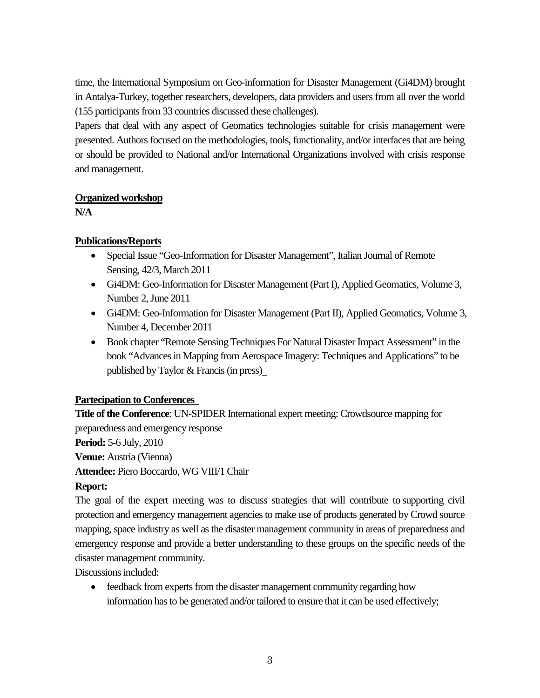time, the International Symposium on Geo-information for Disaster Management (Gi4DM) brought in Antalya-Turkey, together researchers, developers, data providers and users from all over the world (155 participants from 33 countries discussed these challenges).

Papers that deal with any aspect of Geomatics technologies suitable for crisis management were presented. Authors focused on the methodologies, tools, functionality, and/or interfaces that are being or should be provided to National and/or International Organizations involved with crisis response and management.

# **Organized workshop**

**N/A**

# **Publications/Reports**

- Special Issue "Geo-Information for Disaster Management", Italian Journal of Remote Sensing, 42/3, March 2011
- Gi4DM: Geo-Information for Disaster Management (Part I), Applied Geomatics, Volume 3, Number 2, June 2011
- Gi4DM: Geo-Information for Disaster Management (Part II), Applied Geomatics, Volume 3, Number 4, December 2011
- Book chapter "Remote Sensing Techniques For Natural Disaster Impact Assessment" in the book "Advances in Mapping from Aerospace Imagery: Techniques and Applications" to be published by Taylor & Francis (in press)

# **Partecipation to Conferences**

**Title of the Conference**: UN-SPIDER International expert meeting: Crowdsource mapping for preparedness and emergency response

**Period:** 5-6 July, 2010

**Venue:** Austria (Vienna)

**Attendee:** Piero Boccardo, WG VIII/1 Chair

# **Report:**

The goal of the expert meeting was to discuss strategies that will contribute to supporting civil protection and emergency management agencies to make use of products generated by Crowd source mapping, space industry as well as the disaster management community in areas of preparedness and emergency response and provide a better understanding to these groups on the specific needs of the disaster management community.

Discussions included:

• feedback from experts from the disaster management community regarding how information has to be generated and/or tailored to ensure that it can be used effectively;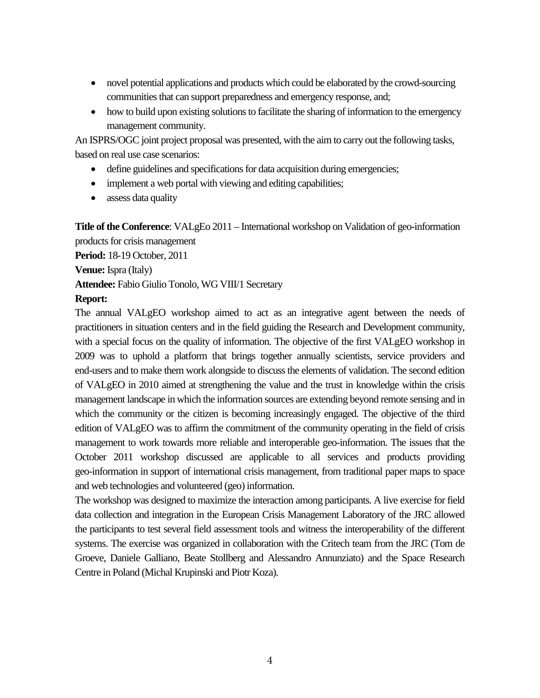- novel potential applications and products which could be elaborated by the crowd-sourcing communities that can support preparedness and emergency response, and;
- how to build upon existing solutions to facilitate the sharing of information to the emergency management community.

An ISPRS/OGC joint project proposal was presented, with the aim to carry out the following tasks, based on real use case scenarios:

- define guidelines and specifications for data acquisition during emergencies;
- implement a web portal with viewing and editing capabilities;
- assess data quality

**Title of the Conference**: VALgEo 2011 – International workshop on Validation of geo-information products for crisis management

**Period:** 18-19 October, 2011

**Venue:** Ispra (Italy)

**Attendee:** Fabio Giulio Tonolo, WG VIII/1 Secretary

## **Report:**

The annual VALgEO workshop aimed to act as an integrative agent between the needs of practitioners in situation centers and in the field guiding the Research and Development community, with a special focus on the quality of information. The objective of the first VALgEO workshop in 2009 was to uphold a platform that brings together annually scientists, service providers and end-users and to make them work alongside to discuss the elements of validation. The second edition of VALgEO in 2010 aimed at strengthening the value and the trust in knowledge within the crisis management landscape in which the information sources are extending beyond remote sensing and in which the community or the citizen is becoming increasingly engaged. The objective of the third edition of VALgEO was to affirm the commitment of the community operating in the field of crisis management to work towards more reliable and interoperable geo-information. The issues that the October 2011 workshop discussed are applicable to all services and products providing geo-information in support of international crisis management, from traditional paper maps to space and web technologies and volunteered (geo) information.

The workshop was designed to maximize the interaction among participants. A live exercise for field data collection and integration in the European Crisis Management Laboratory of the JRC allowed the participants to test several field assessment tools and witness the interoperability of the different systems. The exercise was organized in collaboration with the Critech team from the JRC (Tom de Groeve, Daniele Galliano, Beate Stollberg and Alessandro Annunziato) and the Space Research Centre in Poland (Michal Krupinski and Piotr Koza).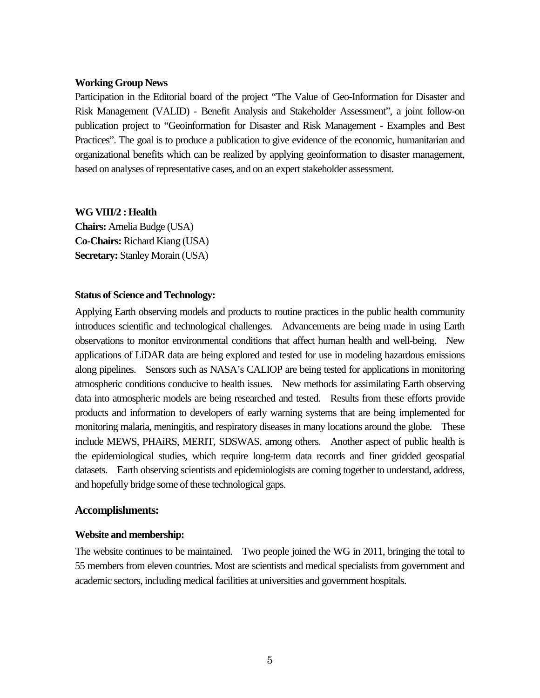### **Working Group News**

Participation in the Editorial board of the project "The Value of Geo-Information for Disaster and Risk Management (VALID) - Benefit Analysis and Stakeholder Assessment", a joint follow-on publication project to "Geoinformation for Disaster and Risk Management - Examples and Best Practices". The goal is to produce a publication to give evidence of the economic, humanitarian and organizational benefits which can be realized by applying geoinformation to disaster management, based on analyses of representative cases, and on an expert stakeholder assessment.

### **WG VIII/2 : Health**

**Chairs:** Amelia Budge (USA) **Co-Chairs:** Richard Kiang (USA) **Secretary:** Stanley Morain (USA)

### **Status of Science and Technology:**

Applying Earth observing models and products to routine practices in the public health community introduces scientific and technological challenges. Advancements are being made in using Earth observations to monitor environmental conditions that affect human health and well-being. New applications of LiDAR data are being explored and tested for use in modeling hazardous emissions along pipelines. Sensors such as NASA's CALIOP are being tested for applications in monitoring atmospheric conditions conducive to health issues. New methods for assimilating Earth observing data into atmospheric models are being researched and tested. Results from these efforts provide products and information to developers of early warning systems that are being implemented for monitoring malaria, meningitis, and respiratory diseases in many locations around the globe. These include MEWS, PHAiRS, MERIT, SDSWAS, among others. Another aspect of public health is the epidemiological studies, which require long-term data records and finer gridded geospatial datasets. Earth observing scientists and epidemiologists are coming together to understand, address, and hopefully bridge some of these technological gaps.

## **Accomplishments:**

## **Website and membership:**

The website continues to be maintained. Two people joined the WG in 2011, bringing the total to 55 members from eleven countries. Most are scientists and medical specialists from government and academic sectors, including medical facilities at universities and government hospitals.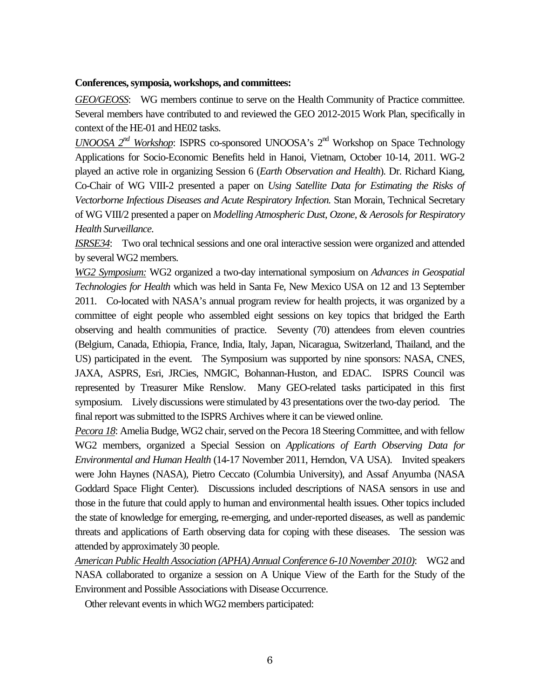### **Conferences, symposia, workshops, and committees:**

*GEO/GEOSS*: WG members continue to serve on the Health Community of Practice committee. Several members have contributed to and reviewed the GEO 2012-2015 Work Plan, specifically in context of the HE-01 and HE02 tasks.

*UNOOSA 2nd Workshop*: ISPRS co-sponsored UNOOSA's 2nd Workshop on Space Technology Applications for Socio-Economic Benefits held in Hanoi, Vietnam, October 10-14, 2011. WG-2 played an active role in organizing Session 6 (*Earth Observation and Health*). Dr. Richard Kiang, Co-Chair of WG VIII-2 presented a paper on *Using Satellite Data for Estimating the Risks of Vectorborne Infectious Diseases and Acute Respiratory Infection.* Stan Morain, Technical Secretary of WG VIII/2 presented a paper on *Modelling Atmospheric Dust, Ozone, & Aerosols for Respiratory Health Surveillance*.

*ISRSE34*: Two oral technical sessions and one oral interactive session were organized and attended by several WG2 members.

*WG2 Symposium:* WG2 organized a two-day international symposium on *Advances in Geospatial Technologies for Health* which was held in Santa Fe, New Mexico USA on 12 and 13 September 2011. Co-located with NASA's annual program review for health projects, it was organized by a committee of eight people who assembled eight sessions on key topics that bridged the Earth observing and health communities of practice. Seventy (70) attendees from eleven countries (Belgium, Canada, Ethiopia, France, India, Italy, Japan, Nicaragua, Switzerland, Thailand, and the US) participated in the event. The Symposium was supported by nine sponsors: NASA, CNES, JAXA, ASPRS, Esri, JRCies, NMGIC, Bohannan-Huston, and EDAC. ISPRS Council was represented by Treasurer Mike Renslow. Many GEO-related tasks participated in this first symposium. Lively discussions were stimulated by 43 presentations over the two-day period. The final report was submitted to the ISPRS Archives where it can be viewed online.

*Pecora 18*: Amelia Budge, WG2 chair, served on the Pecora 18 Steering Committee, and with fellow WG2 members, organized a Special Session on *Applications of Earth Observing Data for Environmental and Human Health* (14-17 November 2011, Herndon, VA USA). Invited speakers were John Haynes (NASA), Pietro Ceccato (Columbia University), and Assaf Anyumba (NASA Goddard Space Flight Center). Discussions included descriptions of NASA sensors in use and those in the future that could apply to human and environmental health issues. Other topics included the state of knowledge for emerging, re-emerging, and under-reported diseases, as well as pandemic threats and applications of Earth observing data for coping with these diseases. The session was attended by approximately 30 people.

*American Public Health Association (APHA) Annual Conference 6-10 November 2010)*: WG2 and NASA collaborated to organize a session on A Unique View of the Earth for the Study of the Environment and Possible Associations with Disease Occurrence.

Other relevant events in which WG2 members participated: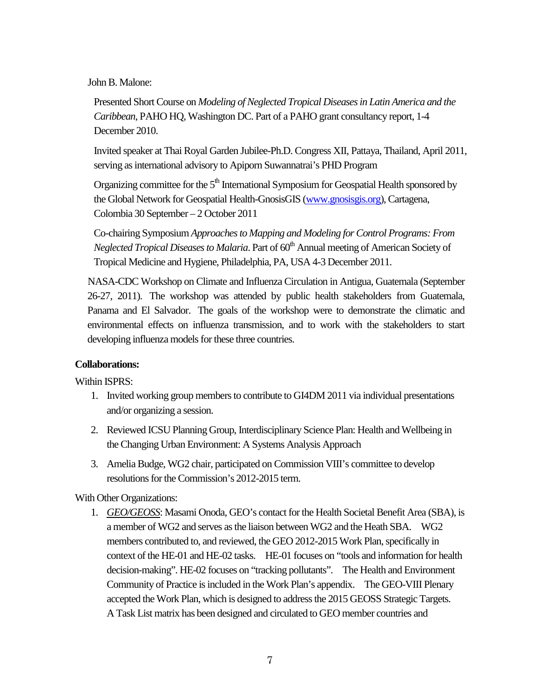## John B. Malone:

Presented Short Course on *Modeling of Neglected Tropical Diseases in Latin America and the Caribbean*, PAHO HQ, Washington DC. Part of a PAHO grant consultancy report, 1-4 December 2010.

Invited speaker at Thai Royal Garden Jubilee-Ph.D. Congress XII, Pattaya, Thailand, April 2011, serving as international advisory to Apiporn Suwannatrai's PHD Program

Organizing committee for the  $5<sup>th</sup>$  International Symposium for Geospatial Health sponsored by the Global Network for Geospatial Health-GnosisGIS [\(www.gnosisgis.org\)](http://www.gnosisgis.org/), Cartagena, Colombia 30 September – 2 October 2011

Co-chairing Symposium *Approaches to Mapping and Modeling for Control Programs: From Neglected Tropical Diseases to Malaria*. Part of 60<sup>th</sup> Annual meeting of American Society of Tropical Medicine and Hygiene, Philadelphia, PA, USA 4-3 December 2011.

NASA-CDC Workshop on Climate and Influenza Circulation in Antigua, Guatemala (September 26-27, 2011). The workshop was attended by public health stakeholders from Guatemala, Panama and El Salvador. The goals of the workshop were to demonstrate the climatic and environmental effects on influenza transmission, and to work with the stakeholders to start developing influenza models for these three countries.

## **Collaborations:**

Within ISPRS:

- 1. Invited working group members to contribute to GI4DM 2011 via individual presentations and/or organizing a session.
- 2. Reviewed ICSU Planning Group, Interdisciplinary Science Plan: Health and Wellbeing in the Changing Urban Environment: A Systems Analysis Approach
- 3. Amelia Budge, WG2 chair, participated on Commission VIII's committee to develop resolutions for the Commission's 2012-2015 term.

# With Other Organizations:

1. *GEO/GEOSS*: Masami Onoda, GEO's contact for the Health Societal Benefit Area (SBA), is a member of WG2 and serves as the liaison between WG2 and the Heath SBA. WG2 members contributed to, and reviewed, the GEO 2012-2015 Work Plan, specifically in context of the HE-01 and HE-02 tasks. HE-01 focuses on "tools and information for health decision-making". HE-02 focuses on "tracking pollutants". The Health and Environment Community of Practice is included in the Work Plan's appendix. The GEO-VIII Plenary accepted the Work Plan, which is designed to address the 2015 GEOSS Strategic Targets. A Task List matrix has been designed and circulated to GEO member countries and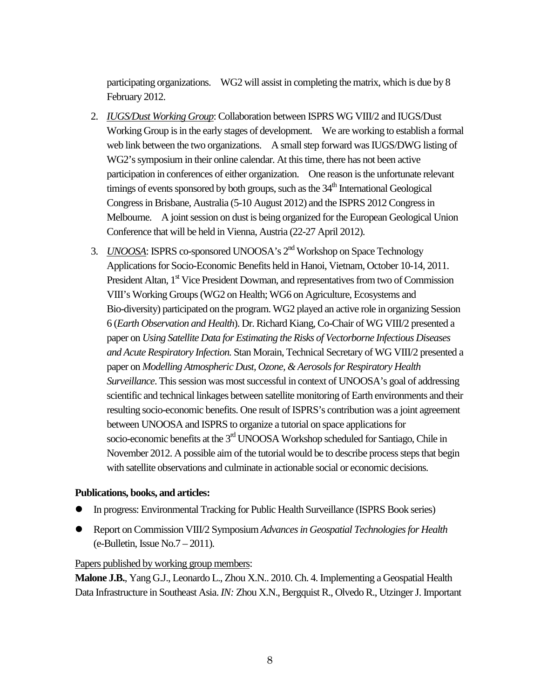participating organizations. WG2 will assist in completing the matrix, which is due by 8 February 2012.

- 2. *IUGS/Dust Working Group*: Collaboration between ISPRS WG VIII/2 and IUGS/Dust Working Group is in the early stages of development. We are working to establish a formal web link between the two organizations. A small step forward was IUGS/DWG listing of WG2's symposium in their online calendar. At this time, there has not been active participation in conferences of either organization. One reason is the unfortunate relevant timings of events sponsored by both groups, such as the  $34<sup>th</sup>$  International Geological Congress in Brisbane, Australia (5-10 August 2012) and the ISPRS 2012 Congress in Melbourne. A joint session on dust is being organized for the European Geological Union Conference that will be held in Vienna, Austria (22-27 April 2012).
- 3. *UNOOSA*: ISPRS co-sponsored UNOOSA's 2nd Workshop on Space Technology Applications for Socio-Economic Benefits held in Hanoi, Vietnam, October 10-14, 2011. President Altan,  $1<sup>st</sup>$  Vice President Dowman, and representatives from two of Commission VIII's Working Groups (WG2 on Health; WG6 on Agriculture, Ecosystems and Bio-diversity) participated on the program. WG2 played an active role in organizing Session 6 (*Earth Observation and Health*). Dr. Richard Kiang, Co-Chair of WG VIII/2 presented a paper on *Using Satellite Data for Estimating the Risks of Vectorborne Infectious Diseases and Acute Respiratory Infection.* Stan Morain, Technical Secretary of WG VIII/2 presented a paper on *Modelling Atmospheric Dust, Ozone, & Aerosols for Respiratory Health Surveillance*. This session was most successful in context of UNOOSA's goal of addressing scientific and technical linkages between satellite monitoring of Earth environments and their resulting socio-economic benefits. One result of ISPRS's contribution was a joint agreement between UNOOSA and ISPRS to organize a tutorial on space applications for socio-economic benefits at the 3<sup>rd</sup> UNOOSA Workshop scheduled for Santiago, Chile in November 2012. A possible aim of the tutorial would be to describe process steps that begin with satellite observations and culminate in actionable social or economic decisions.

## **Publications, books, and articles:**

- In progress: Environmental Tracking for Public Health Surveillance (ISPRS Book series)
- Report on Commission VIII/2 Symposium *Advances in Geospatial Technologies for Health* (e-Bulletin, Issue No.7 – 2011).

### Papers published by working group members:

**Malone J.B.**, Yang G.J., Leonardo L., Zhou X.N.. 2010. Ch. 4. Implementing a Geospatial Health Data Infrastructure in Southeast Asia. *IN:* Zhou X.N., Bergquist R., Olvedo R., Utzinger J. Important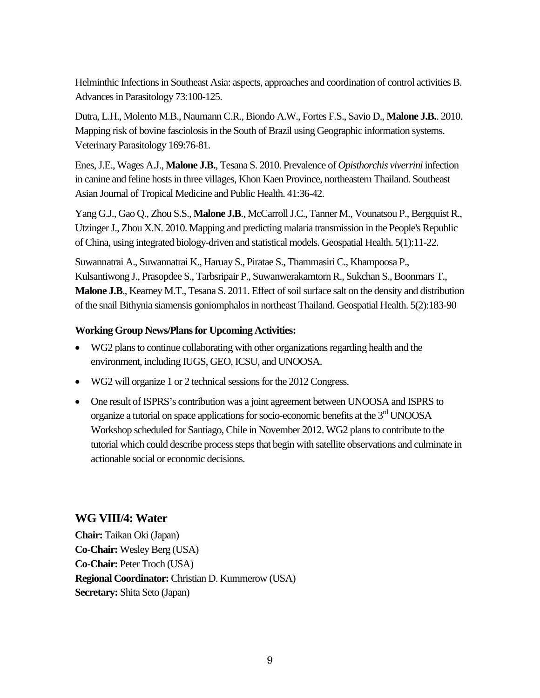Helminthic Infections in Southeast Asia: aspects, approaches and coordination of control activities B. Advances in Parasitology 73:100-125.

Dutra, L.H., Molento M.B., Naumann C.R., Biondo A.W., Fortes F.S., Savio D., **Malone J.B.**. 2010. Mapping risk of bovine fasciolosis in the South of Brazil using Geographic information systems. Veterinary Parasitology 169:76-81.

Enes, J.E., Wages A.J., **Malone J.B.**, Tesana S. 2010. Prevalence of *Opisthorchis viverrini* infection in canine and feline hosts in three villages, Khon Kaen Province, northeastern Thailand. Southeast Asian Journal of Tropical Medicine and Public Health. 41:36-42.

Yang G.J., Gao Q., Zhou S.S., **Malone J.B**., McCarroll J.C., Tanner M., Vounatsou P., Bergquist R., Utzinger J., Zhou X.N. 2010[. Mapping and predicting malaria transmission in the People's Republic](http://www.ncbi.nlm.nih.gov.libproxy.svm.lsu.edu/pubmed/21080317)  [of China, using integrated biology-driven and statistical models.](http://www.ncbi.nlm.nih.gov.libproxy.svm.lsu.edu/pubmed/21080317) Geospatial Health. 5(1):11-22.

Suwannatrai A., Suwannatrai K., Haruay S., Piratae S., Thammasiri C., Khampoosa P., Kulsantiwong J., Prasopdee S., Tarbsripair P., Suwanwerakamtorn R., Sukchan S., Boonmars T., **Malone J.B**., Kearney M.T., Tesana S. 2011[. Effect of soil surface salt on the density and distribution](http://www.ncbi.nlm.nih.gov.libproxy.svm.lsu.edu/pubmed/21590668)  [of the snail Bithynia siamensis goniomphalos in northeast Thailand.](http://www.ncbi.nlm.nih.gov.libproxy.svm.lsu.edu/pubmed/21590668) Geospatial Health. 5(2):183-90

# **Working Group News/Plans for Upcoming Activities:**

- WG2 plans to continue collaborating with other organizations regarding health and the environment, including IUGS, GEO, ICSU, and UNOOSA.
- WG2 will organize 1 or 2 technical sessions for the 2012 Congress.
- One result of ISPRS's contribution was a joint agreement between UNOOSA and ISPRS to organize a tutorial on space applications for socio-economic benefits at the  $3<sup>rd</sup>$  UNOOSA Workshop scheduled for Santiago, Chile in November 2012. WG2 plans to contribute to the tutorial which could describe process steps that begin with satellite observations and culminate in actionable social or economic decisions.

# **WG VIII/4: Water**

**Chair:** Taikan Oki (Japan) **Co-Chair:** Wesley Berg (USA) **Co-Chair:** Peter Troch (USA) **Regional Coordinator:** Christian D. Kummerow (USA) **Secretary:** Shita Seto (Japan)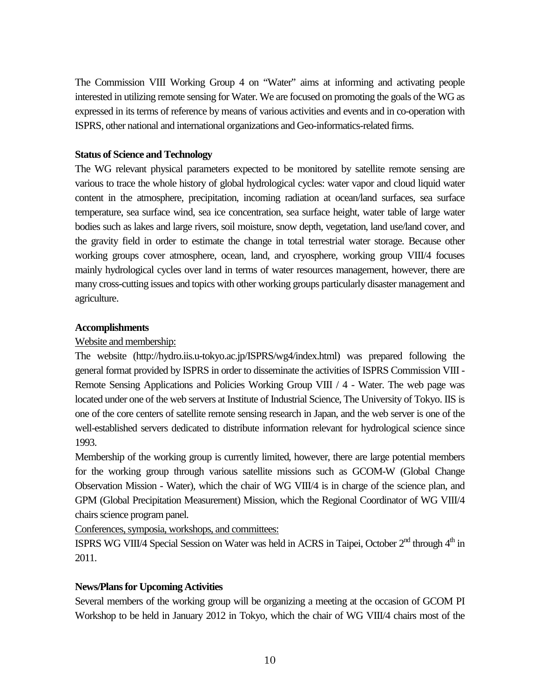The Commission VIII Working Group 4 on "Water" aims at informing and activating people interested in utilizing remote sensing for Water. We are focused on promoting the goals of the WG as expressed in its terms of reference by means of various activities and events and in co-operation with ISPRS, other national and international organizations and Geo-informatics-related firms.

## **Status of Science and Technology**

The WG relevant physical parameters expected to be monitored by satellite remote sensing are various to trace the whole history of global hydrological cycles: water vapor and cloud liquid water content in the atmosphere, precipitation, incoming radiation at ocean/land surfaces, sea surface temperature, sea surface wind, sea ice concentration, sea surface height, water table of large water bodies such as lakes and large rivers, soil moisture, snow depth, vegetation, land use/land cover, and the gravity field in order to estimate the change in total terrestrial water storage. Because other working groups cover atmosphere, ocean, land, and cryosphere, working group VIII/4 focuses mainly hydrological cycles over land in terms of water resources management, however, there are many cross-cutting issues and topics with other working groups particularly disaster management and agriculture.

## **Accomplishments**

## Website and membership:

The website (http://hydro.iis.u-tokyo.ac.jp/ISPRS/wg4/index.html) was prepared following the general format provided by ISPRS in order to disseminate the activities of ISPRS Commission VIII - Remote Sensing Applications and Policies Working Group VIII / 4 - Water. The web page was located under one of the web servers at Institute of Industrial Science, The University of Tokyo. IIS is one of the core centers of satellite remote sensing research in Japan, and the web server is one of the well-established servers dedicated to distribute information relevant for hydrological science since 1993.

Membership of the working group is currently limited, however, there are large potential members for the working group through various satellite missions such as GCOM-W (Global Change Observation Mission - Water), which the chair of WG VIII/4 is in charge of the science plan, and GPM (Global Precipitation Measurement) Mission, which the Regional Coordinator of WG VIII/4 chairs science program panel.

Conferences, symposia, workshops, and committees:

ISPRS WG VIII/4 Special Session on Water was held in ACRS in Taipei, October 2<sup>nd</sup> through 4<sup>th</sup> in 2011.

# **News/Plans for Upcoming Activities**

Several members of the working group will be organizing a meeting at the occasion of GCOM PI Workshop to be held in January 2012 in Tokyo, which the chair of WG VIII/4 chairs most of the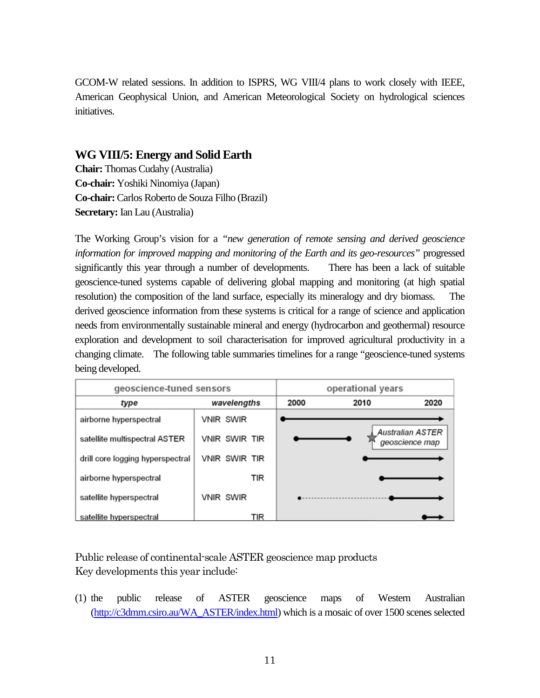GCOM-W related sessions. In addition to ISPRS, WG VIII/4 plans to work closely with IEEE, American Geophysical Union, and American Meteorological Society on hydrological sciences initiatives.

# **WG VIII/5: Energy and Solid Earth**

**Chair:** Thomas Cudahy (Australia) **Co-chair:** Yoshiki Ninomiya (Japan) **Co-chair:** Carlos Roberto de Souza Filho (Brazil) **Secretary:** Ian Lau (Australia)

The Working Group's vision for a *"new generation of remote sensing and derived geoscience information for improved mapping and monitoring of the Earth and its geo-resources"* progressed significantly this year through a number of developments. There has been a lack of suitable geoscience-tuned systems capable of delivering global mapping and monitoring (at high spatial resolution) the composition of the land surface, especially its mineralogy and dry biomass. The derived geoscience information from these systems is critical for a range of science and application needs from environmentally sustainable mineral and energy (hydrocarbon and geothermal) resource exploration and development to soil characterisation for improved agricultural productivity in a changing climate. The following table summaries timelines for a range "geoscience-tuned systems being developed.

| geoscience-tuned sensors         |                  | operational years |      |                                           |
|----------------------------------|------------------|-------------------|------|-------------------------------------------|
| type                             | wavelengths      | 2000              | 2010 | 2020                                      |
| airborne hyperspectral           | <b>VNIR SWIR</b> |                   |      |                                           |
| satellite multispectral ASTER    | VNIR SWIR TIR    |                   |      | <b>Australian ASTER</b><br>geoscience map |
| drill core logging hyperspectral | VNIR SWIR TIR    |                   |      |                                           |
| airborne hyperspectral           | TIR              |                   |      |                                           |
| satellite hyperspectral          | <b>VNIR SWIR</b> |                   |      |                                           |
| satellite hyperspectral          | TIR              |                   |      |                                           |

Public release of continental-scale ASTER geoscience map products Key developments this year include:

(1) the public release of ASTER geoscience maps of Western Australian [\(http://c3dmm.csiro.au/WA\\_ASTER/index.html\)](http://c3dmm.csiro.au/WA_ASTER/index.html) which is a mosaic of over 1500 scenes selected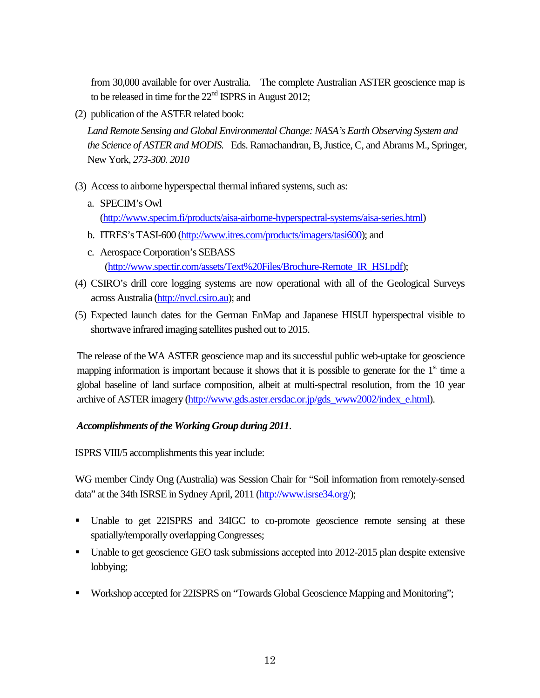from 30,000 available for over Australia. The complete Australian ASTER geoscience map is to be released in time for the  $22<sup>nd</sup>$  ISPRS in August 2012;

(2) publication of the ASTER related book:

*Land Remote Sensing and Global Environmental Change: NASA's Earth Observing System and the Science of ASTER and MODIS.* Eds. Ramachandran, B, Justice, C, and Abrams M., Springer, New York, *273-300. 2010*

- (3) Access to airborne hyperspectral thermal infrared systems, such as:
	- a. SPECIM's Owl [\(http://www.specim.fi/products/aisa-airborne-hyperspectral-systems/aisa-series.html\)](http://www.specim.fi/products/aisa-airborne-hyperspectral-systems/aisa-series.html)
	- b. ITRES's TASI-600 [\(http://www.itres.com/products/imagers/tasi600\)](http://www.itres.com/products/imagers/tasi600); and
	- c. Aerospace Corporation's SEBASS [\(http://www.spectir.com/assets/Text%20Files/Brochure-Remote\\_IR\\_HSI.pdf\)](http://www.spectir.com/assets/Text%20Files/Brochure-Remote_IR_HSI.pdf);
- (4) CSIRO's drill core logging systems are now operational with all of the Geological Surveys across Australia [\(http://nvcl.csiro.au\)](http://nvcl.csiro.au/); and
- (5) Expected launch dates for the German EnMap and Japanese HISUI hyperspectral visible to shortwave infrared imaging satellites pushed out to 2015.

The release of the WA ASTER geoscience map and its successful public web-uptake for geoscience mapping information is important because it shows that it is possible to generate for the  $1<sup>st</sup>$  time a global baseline of land surface composition, albeit at multi-spectral resolution, from the 10 year archive of ASTER imagery [\(http://www.gds.aster.ersdac.or.jp/gds\\_www2002/index\\_e.html\)](http://www.gds.aster.ersdac.or.jp/gds_www2002/index_e.html).

# *Accomplishments of the Working Group during 2011*.

ISPRS VIII/5 accomplishments this year include:

WG member Cindy Ong (Australia) was Session Chair for "Soil information from remotely-sensed data" at the 34th ISRSE in Sydney April, 2011 [\(http://www.isrse34.org/\)](http://www.isrse34.org/);

- Unable to get 22ISPRS and 34IGC to co-promote geoscience remote sensing at these spatially/temporally overlapping Congresses;
- Unable to get geoscience GEO task submissions accepted into 2012-2015 plan despite extensive lobbying;
- Workshop accepted for 22ISPRS on "Towards Global Geoscience Mapping and Monitoring";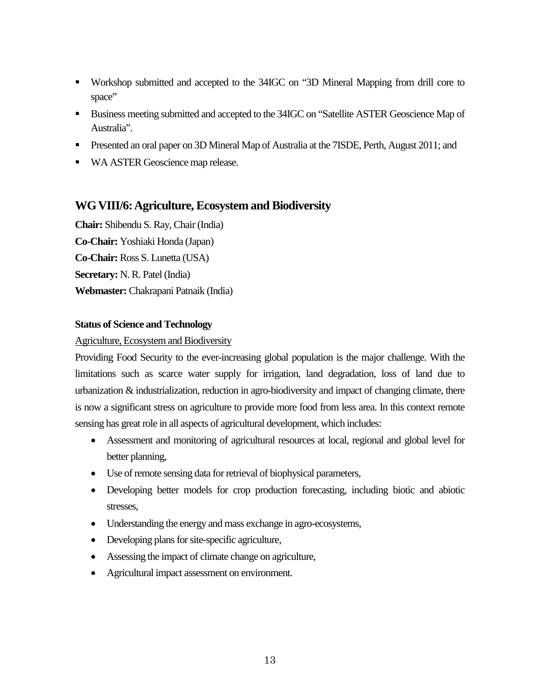- Workshop submitted and accepted to the 34IGC on "3D Mineral Mapping from drill core to space"
- Business meeting submitted and accepted to the 34IGC on "Satellite ASTER Geoscience Map of Australia".
- **Presented an oral paper on 3D Mineral Map of Australia at the 7ISDE, Perth, August 2011; and**
- **WA ASTER Geoscience map release.**

# **WG VIII/6: Agriculture, Ecosystem and Biodiversity**

**Chair:** Shibendu S. Ray, Chair (India) **Co-Chair:** Yoshiaki Honda (Japan) **Co-Chair:** Ross S. Lunetta (USA) **Secretary:** N. R. Patel (India) **Webmaster:** Chakrapani Patnaik (India)

## **Status of Science and Technology**

## Agriculture, Ecosystem and Biodiversity

Providing Food Security to the ever-increasing global population is the major challenge. With the limitations such as scarce water supply for irrigation, land degradation, loss of land due to urbanization & industrialization, reduction in agro-biodiversity and impact of changing climate, there is now a significant stress on agriculture to provide more food from less area. In this context remote sensing has great role in all aspects of agricultural development, which includes:

- Assessment and monitoring of agricultural resources at local, regional and global level for better planning,
- Use of remote sensing data for retrieval of biophysical parameters,
- Developing better models for crop production forecasting, including biotic and abiotic stresses,
- Understanding the energy and mass exchange in agro-ecosystems,
- Developing plans for site-specific agriculture,
- Assessing the impact of climate change on agriculture,
- Agricultural impact assessment on environment.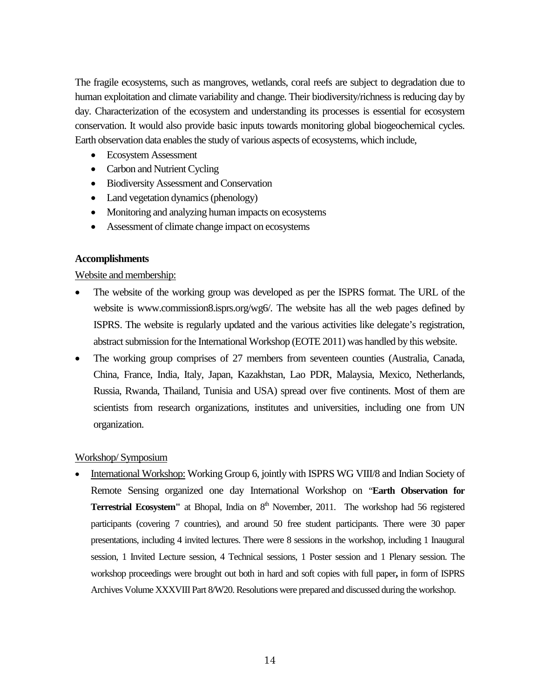The fragile ecosystems, such as mangroves, wetlands, coral reefs are subject to degradation due to human exploitation and climate variability and change. Their biodiversity/richness is reducing day by day. Characterization of the ecosystem and understanding its processes is essential for ecosystem conservation. It would also provide basic inputs towards monitoring global biogeochemical cycles. Earth observation data enables the study of various aspects of ecosystems, which include,

- Ecosystem Assessment
- Carbon and Nutrient Cycling
- Biodiversity Assessment and Conservation
- Land vegetation dynamics (phenology)
- Monitoring and analyzing human impacts on ecosystems
- Assessment of climate change impact on ecosystems

### **Accomplishments**

### Website and membership:

- The website of the working group was developed as per the ISPRS format. The URL of the website is www.commission8.isprs.org/wg6/. The website has all the web pages defined by ISPRS. The website is regularly updated and the various activities like delegate's registration, abstract submission for the International Workshop (EOTE 2011) was handled by this website.
- The working group comprises of 27 members from seventeen counties (Australia, Canada, China, France, India, Italy, Japan, Kazakhstan, Lao PDR, Malaysia, Mexico, Netherlands, Russia, Rwanda, Thailand, Tunisia and USA) spread over five continents. Most of them are scientists from research organizations, institutes and universities, including one from UN organization.

## Workshop/ Symposium

• International Workshop: Working Group 6, jointly with ISPRS WG VIII/8 and Indian Society of Remote Sensing organized one day International Workshop on "**Earth Observation for Terrestrial Ecosystem"** at Bhopal, India on 8<sup>th</sup> November, 2011. The workshop had 56 registered participants (covering 7 countries), and around 50 free student participants. There were 30 paper presentations, including 4 invited lectures. There were 8 sessions in the workshop, including 1 Inaugural session, 1 Invited Lecture session, 4 Technical sessions, 1 Poster session and 1 Plenary session. The workshop proceedings were brought out both in hard and soft copies with full paper**,** in form of ISPRS Archives Volume XXXVIII Part 8/W20. Resolutions were prepared and discussed during the workshop.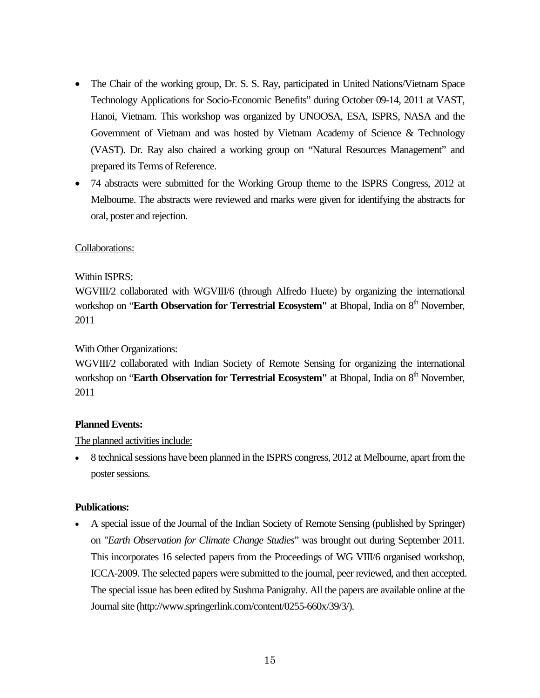- The Chair of the working group, Dr. S. S. Ray, participated in United Nations/Vietnam Space Technology Applications for Socio-Economic Benefits" during October 09-14, 2011 at VAST, Hanoi, Vietnam. This workshop was organized by UNOOSA, ESA, ISPRS, NASA and the Government of Vietnam and was hosted by Vietnam Academy of Science & Technology (VAST). Dr. Ray also chaired a working group on "Natural Resources Management" and prepared its Terms of Reference.
- 74 abstracts were submitted for the Working Group theme to the ISPRS Congress, 2012 at Melbourne. The abstracts were reviewed and marks were given for identifying the abstracts for oral, poster and rejection.

## Collaborations:

## Within ISPRS:

WGVIII/2 collaborated with WGVIII/6 (through Alfredo Huete) by organizing the international workshop on "**Earth Observation for Terrestrial Ecosystem"** at Bhopal, India on 8<sup>th</sup> November, 2011

## With Other Organizations:

WGVIII/2 collaborated with Indian Society of Remote Sensing for organizing the international workshop on "**Earth Observation for Terrestrial Ecosystem"** at Bhopal, India on 8<sup>th</sup> November, 2011

## **Planned Events:**

# The planned activities include:

8 technical sessions have been planned in the ISPRS congress, 2012 at Melbourne, apart from the poster sessions.

## **Publications:**

• A special issue of the Journal of the Indian Society of Remote Sensing (published by Springer) on "*Earth Observation for Climate Change Studies*" was brought out during September 2011. This incorporates 16 selected papers from the Proceedings of WG VIII/6 organised workshop, ICCA-2009. The selected papers were submitted to the journal, peer reviewed, and then accepted. The special issue has been edited by Sushma Panigrahy. All the papers are available online at the Journal site (http://www.springerlink.com/content/0255-660x/39/3/).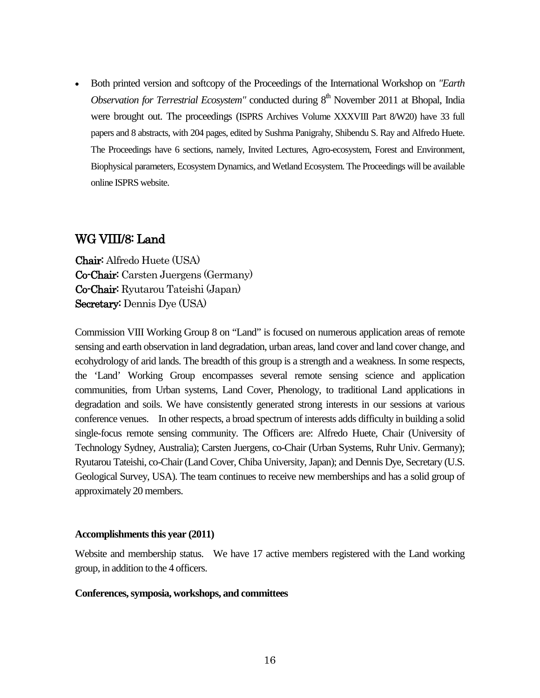• Both printed version and softcopy of the Proceedings of the International Workshop on *"Earth Observation for Terrestrial Ecosystem"* conducted during 8<sup>th</sup> November 2011 at Bhopal, India were brought out. The proceedings (ISPRS Archives Volume XXXVIII Part 8/W20) have 33 full papers and 8 abstracts, with 204 pages, edited by Sushma Panigrahy, Shibendu S. Ray and Alfredo Huete. The Proceedings have 6 sections, namely, Invited Lectures, Agro-ecosystem, Forest and Environment, Biophysical parameters, Ecosystem Dynamics, and Wetland Ecosystem. The Proceedings will be available online ISPRS website.

# WG VIII/8: Land

Chair: Alfredo Huete (USA) Co-Chair: Carsten Juergens (Germany) Co-Chair: Ryutarou Tateishi (Japan) Secretary: Dennis Dye (USA)

Commission VIII Working Group 8 on "Land" is focused on numerous application areas of remote sensing and earth observation in land degradation, urban areas, land cover and land cover change, and ecohydrology of arid lands. The breadth of this group is a strength and a weakness. In some respects, the 'Land' Working Group encompasses several remote sensing science and application communities, from Urban systems, Land Cover, Phenology, to traditional Land applications in degradation and soils. We have consistently generated strong interests in our sessions at various conference venues. In other respects, a broad spectrum of interests adds difficulty in building a solid single-focus remote sensing community. The Officers are: Alfredo Huete, Chair (University of Technology Sydney, Australia); Carsten Juergens, co-Chair (Urban Systems, Ruhr Univ. Germany); Ryutarou Tateishi, co-Chair (Land Cover, Chiba University, Japan); and Dennis Dye, Secretary (U.S. Geological Survey, USA). The team continues to receive new memberships and has a solid group of approximately 20 members.

### **Accomplishments this year (2011)**

Website and membership status. We have 17 active members registered with the Land working group, in addition to the 4 officers.

### **Conferences, symposia, workshops, and committees**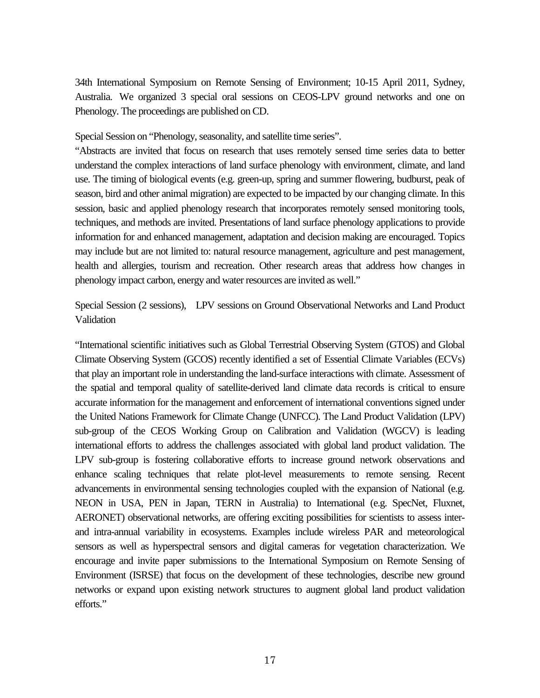34th International Symposium on Remote Sensing of Environment; 10-15 April 2011, Sydney, Australia. We organized 3 special oral sessions on CEOS-LPV ground networks and one on Phenology. The proceedings are published on CD.

Special Session on "Phenology, seasonality, and satellite time series".

"Abstracts are invited that focus on research that uses remotely sensed time series data to better understand the complex interactions of land surface phenology with environment, climate, and land use. The timing of biological events (e.g. green-up, spring and summer flowering, budburst, peak of season, bird and other animal migration) are expected to be impacted by our changing climate. In this session, basic and applied phenology research that incorporates remotely sensed monitoring tools, techniques, and methods are invited. Presentations of land surface phenology applications to provide information for and enhanced management, adaptation and decision making are encouraged. Topics may include but are not limited to: natural resource management, agriculture and pest management, health and allergies, tourism and recreation. Other research areas that address how changes in phenology impact carbon, energy and water resources are invited as well."

Special Session (2 sessions), LPV sessions on Ground Observational Networks and Land Product Validation

"International scientific initiatives such as Global Terrestrial Observing System (GTOS) and Global Climate Observing System (GCOS) recently identified a set of Essential Climate Variables (ECVs) that play an important role in understanding the land-surface interactions with climate. Assessment of the spatial and temporal quality of satellite-derived land climate data records is critical to ensure accurate information for the management and enforcement of international conventions signed under the United Nations Framework for Climate Change (UNFCC). The Land Product Validation (LPV) sub-group of the CEOS Working Group on Calibration and Validation (WGCV) is leading international efforts to address the challenges associated with global land product validation. The LPV sub-group is fostering collaborative efforts to increase ground network observations and enhance scaling techniques that relate plot-level measurements to remote sensing. Recent advancements in environmental sensing technologies coupled with the expansion of National (e.g. NEON in USA, PEN in Japan, TERN in Australia) to International (e.g. SpecNet, Fluxnet, AERONET) observational networks, are offering exciting possibilities for scientists to assess interand intra-annual variability in ecosystems. Examples include wireless PAR and meteorological sensors as well as hyperspectral sensors and digital cameras for vegetation characterization. We encourage and invite paper submissions to the International Symposium on Remote Sensing of Environment (ISRSE) that focus on the development of these technologies, describe new ground networks or expand upon existing network structures to augment global land product validation efforts."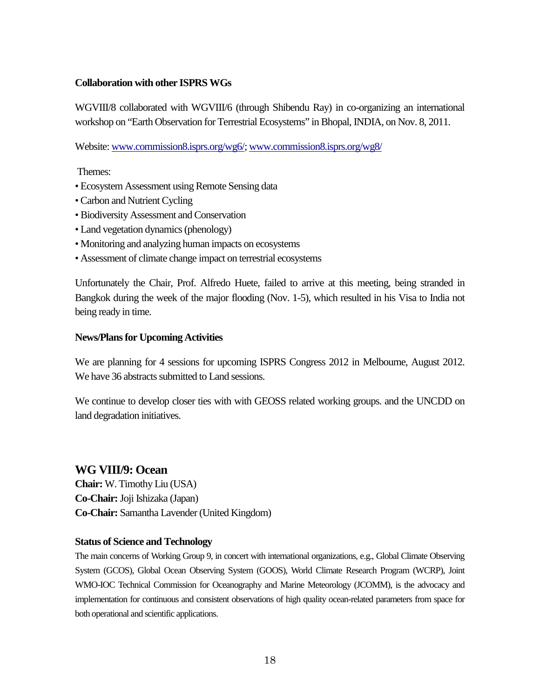## **Collaboration with other ISPRS WGs**

WGVIII/8 collaborated with WGVIII/6 (through Shibendu Ray) in co-organizing an international workshop on "Earth Observation for Terrestrial Ecosystems" in Bhopal, INDIA, on Nov. 8, 2011.

Website[: www.commission8.isprs.org/wg6/;](http://www.commission8.isprs.org/wg6/) [www.commission8.isprs.org/wg8/](http://www.commission8.isprs.org/wg8/)

Themes:

- Ecosystem Assessment using Remote Sensing data
- Carbon and Nutrient Cycling
- Biodiversity Assessment and Conservation
- Land vegetation dynamics (phenology)
- Monitoring and analyzing human impacts on ecosystems
- Assessment of climate change impact on terrestrial ecosystems

Unfortunately the Chair, Prof. Alfredo Huete, failed to arrive at this meeting, being stranded in Bangkok during the week of the major flooding (Nov. 1-5), which resulted in his Visa to India not being ready in time.

## **News/Plans for Upcoming Activities**

We are planning for 4 sessions for upcoming ISPRS Congress 2012 in Melbourne, August 2012. We have 36 abstracts submitted to Land sessions.

We continue to develop closer ties with with GEOSS related working groups. and the UNCDD on land degradation initiatives.

## **WG VIII/9: Ocean**

**Chair:** W. Timothy Liu (USA) **Co-Chair:**Joji Ishizaka (Japan) **Co-Chair:** Samantha Lavender (United Kingdom)

## **Status of Science and Technology**

The main concerns of Working Group 9, in concert with international organizations, e.g., Global Climate Observing System (GCOS), Global Ocean Observing System (GOOS), World Climate Research Program (WCRP), Joint WMO-IOC Technical Commission for Oceanography and Marine Meteorology (JCOMM), is the advocacy and implementation for continuous and consistent observations of high quality ocean-related parameters from space for both operational and scientific applications.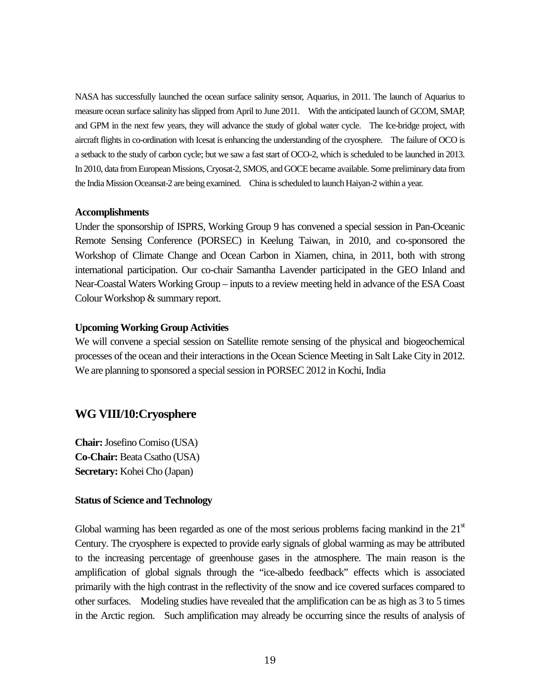NASA has successfully launched the ocean surface salinity sensor, Aquarius, in 2011. The launch of Aquarius to measure ocean surface salinity has slipped from April to June 2011. With the anticipated launch of GCOM, SMAP, and GPM in the next few years, they will advance the study of global water cycle. The Ice-bridge project, with aircraft flights in co-ordination with Icesat is enhancing the understanding of the cryosphere. The failure of OCO is a setback to the study of carbon cycle; but we saw a fast start of OCO-2, which is scheduled to be launched in 2013. In 2010, data from European Missions, Cryosat-2, SMOS, and GOCE became available. Some preliminary data from the India Mission Oceansat-2 are being examined. China is scheduled to launch Haiyan-2 within a year.

### **Accomplishments**

Under the sponsorship of ISPRS, Working Group 9 has convened a special session in Pan-Oceanic Remote Sensing Conference (PORSEC) in Keelung Taiwan, in 2010, and co-sponsored the Workshop of Climate Change and Ocean Carbon in Xiamen, china, in 2011, both with strong international participation. Our co-chair Samantha Lavender participated in the GEO Inland and Near-Coastal Waters Working Group – inputs to a review meeting held in advance of the ESA Coast Colour Workshop & summary report.

### **Upcoming Working Group Activities**

We will convene a special session on Satellite remote sensing of the physical and biogeochemical processes of the ocean and their interactions in the Ocean Science Meeting in Salt Lake City in 2012. We are planning to sponsored a special session in PORSEC 2012 in Kochi, India

# **WG VIII/10:Cryosphere**

**Chair:**Josefino Comiso (USA) **Co-Chair:** Beata Csatho (USA) **Secretary:** Kohei Cho (Japan)

### **Status of Science and Technology**

Global warming has been regarded as one of the most serious problems facing mankind in the  $21<sup>st</sup>$ Century. The cryosphere is expected to provide early signals of global warming as may be attributed to the increasing percentage of greenhouse gases in the atmosphere. The main reason is the amplification of global signals through the "ice-albedo feedback" effects which is associated primarily with the high contrast in the reflectivity of the snow and ice covered surfaces compared to other surfaces. Modeling studies have revealed that the amplification can be as high as 3 to 5 times in the Arctic region. Such amplification may already be occurring since the results of analysis of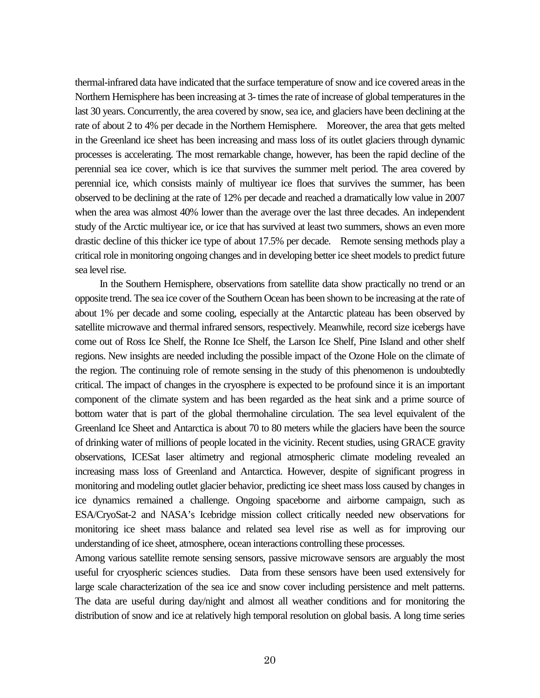thermal-infrared data have indicated that the surface temperature of snow and ice covered areas in the Northern Hemisphere has been increasing at 3- times the rate of increase of global temperatures in the last 30 years. Concurrently, the area covered by snow, sea ice, and glaciers have been declining at the rate of about 2 to 4% per decade in the Northern Hemisphere. Moreover, the area that gets melted in the Greenland ice sheet has been increasing and mass loss of its outlet glaciers through dynamic processes is accelerating. The most remarkable change, however, has been the rapid decline of the perennial sea ice cover, which is ice that survives the summer melt period. The area covered by perennial ice, which consists mainly of multiyear ice floes that survives the summer, has been observed to be declining at the rate of 12% per decade and reached a dramatically low value in 2007 when the area was almost 40% lower than the average over the last three decades. An independent study of the Arctic multiyear ice, or ice that has survived at least two summers, shows an even more drastic decline of this thicker ice type of about 17.5% per decade. Remote sensing methods play a critical role in monitoring ongoing changes and in developing better ice sheet models to predict future sea level rise.

In the Southern Hemisphere, observations from satellite data show practically no trend or an opposite trend. The sea ice cover of the Southern Ocean has been shown to be increasing at the rate of about 1% per decade and some cooling, especially at the Antarctic plateau has been observed by satellite microwave and thermal infrared sensors, respectively. Meanwhile, record size icebergs have come out of Ross Ice Shelf, the Ronne Ice Shelf, the Larson Ice Shelf, Pine Island and other shelf regions. New insights are needed including the possible impact of the Ozone Hole on the climate of the region. The continuing role of remote sensing in the study of this phenomenon is undoubtedly critical. The impact of changes in the cryosphere is expected to be profound since it is an important component of the climate system and has been regarded as the heat sink and a prime source of bottom water that is part of the global thermohaline circulation. The sea level equivalent of the Greenland Ice Sheet and Antarctica is about 70 to 80 meters while the glaciers have been the source of drinking water of millions of people located in the vicinity. Recent studies, using GRACE gravity observations, ICESat laser altimetry and regional atmospheric climate modeling revealed an increasing mass loss of Greenland and Antarctica. However, despite of significant progress in monitoring and modeling outlet glacier behavior, predicting ice sheet mass loss caused by changes in ice dynamics remained a challenge. Ongoing spaceborne and airborne campaign, such as ESA/CryoSat-2 and NASA's Icebridge mission collect critically needed new observations for monitoring ice sheet mass balance and related sea level rise as well as for improving our understanding of ice sheet, atmosphere, ocean interactions controlling these processes.

Among various satellite remote sensing sensors, passive microwave sensors are arguably the most useful for cryospheric sciences studies. Data from these sensors have been used extensively for large scale characterization of the sea ice and snow cover including persistence and melt patterns. The data are useful during day/night and almost all weather conditions and for monitoring the distribution of snow and ice at relatively high temporal resolution on global basis. A long time series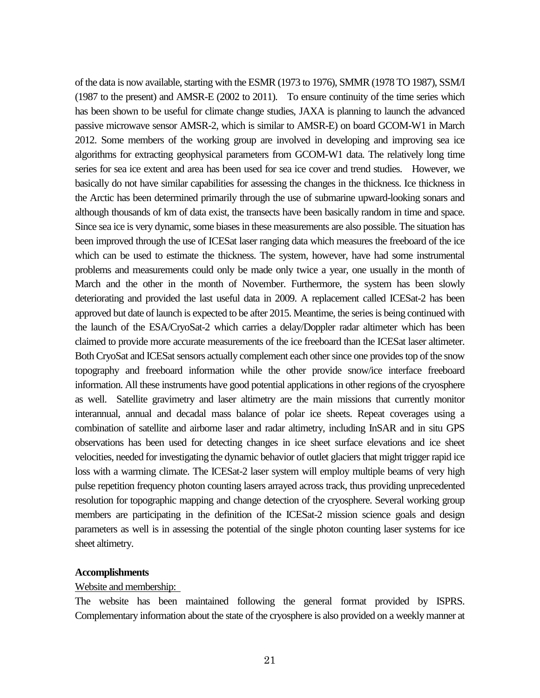of the data is now available, starting with the ESMR (1973 to 1976), SMMR (1978 TO 1987), SSM/I (1987 to the present) and AMSR-E (2002 to 2011). To ensure continuity of the time series which has been shown to be useful for climate change studies, JAXA is planning to launch the advanced passive microwave sensor AMSR-2, which is similar to AMSR-E) on board GCOM-W1 in March 2012. Some members of the working group are involved in developing and improving sea ice algorithms for extracting geophysical parameters from GCOM-W1 data. The relatively long time series for sea ice extent and area has been used for sea ice cover and trend studies. However, we basically do not have similar capabilities for assessing the changes in the thickness. Ice thickness in the Arctic has been determined primarily through the use of submarine upward-looking sonars and although thousands of km of data exist, the transects have been basically random in time and space. Since sea ice is very dynamic, some biases in these measurements are also possible. The situation has been improved through the use of ICESat laser ranging data which measures the freeboard of the ice which can be used to estimate the thickness. The system, however, have had some instrumental problems and measurements could only be made only twice a year, one usually in the month of March and the other in the month of November. Furthermore, the system has been slowly deteriorating and provided the last useful data in 2009. A replacement called ICESat-2 has been approved but date of launch is expected to be after 2015. Meantime, the series is being continued with the launch of the ESA/CryoSat-2 which carries a delay/Doppler radar altimeter which has been claimed to provide more accurate measurements of the ice freeboard than the ICESat laser altimeter. Both CryoSat and ICESat sensors actually complement each other since one provides top of the snow topography and freeboard information while the other provide snow/ice interface freeboard information. All these instruments have good potential applications in other regions of the cryosphere as well. Satellite gravimetry and laser altimetry are the main missions that currently monitor interannual, annual and decadal mass balance of polar ice sheets. Repeat coverages using a combination of satellite and airborne laser and radar altimetry, including InSAR and in situ GPS observations has been used for detecting changes in ice sheet surface elevations and ice sheet velocities, needed for investigating the dynamic behavior of outlet glaciers that might trigger rapid ice loss with a warming climate. The ICESat-2 laser system will employ multiple beams of very high pulse repetition frequency photon counting lasers arrayed across track, thus providing unprecedented resolution for topographic mapping and change detection of the cryosphere. Several working group members are participating in the definition of the ICESat-2 mission science goals and design parameters as well is in assessing the potential of the single photon counting laser systems for ice sheet altimetry.

### **Accomplishments**

#### Website and membership:

The website has been maintained following the general format provided by ISPRS. Complementary information about the state of the cryosphere is also provided on a weekly manner at